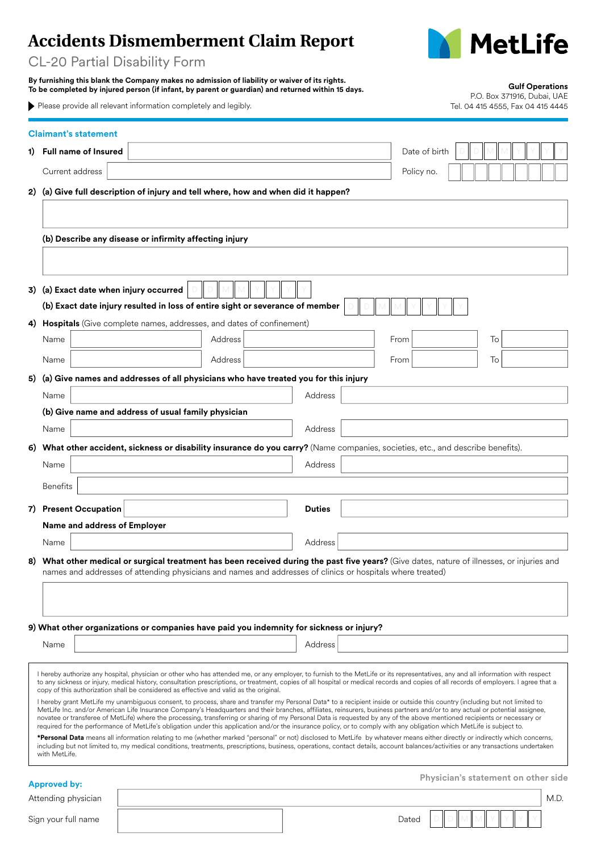## **Accidents Dismemberment Claim Report**



CL-20 Partial Disability Form

|                                                                                                                                                                                                                                                                                                                                                                                                                                                                                                                                                                                                                                                                                                                                                                                                                                                                                                                                                                                                                                                                                                                                                                                                                                                                                                                                                                                                                                                                                                                                                                |                                                                               | By furnishing this blank the Company makes no admission of liability or waiver of its rights.<br>To be completed by injured person (if infant, by parent or guardian) and returned within 15 days.<br>▶ Please provide all relevant information completely and legibly. |         |               |  |               | <b>Gulf Operations</b><br>P.O. Box 371916, Dubai, UAE<br>Tel. 04 415 4555, Fax 04 415 4445 |  |  |
|----------------------------------------------------------------------------------------------------------------------------------------------------------------------------------------------------------------------------------------------------------------------------------------------------------------------------------------------------------------------------------------------------------------------------------------------------------------------------------------------------------------------------------------------------------------------------------------------------------------------------------------------------------------------------------------------------------------------------------------------------------------------------------------------------------------------------------------------------------------------------------------------------------------------------------------------------------------------------------------------------------------------------------------------------------------------------------------------------------------------------------------------------------------------------------------------------------------------------------------------------------------------------------------------------------------------------------------------------------------------------------------------------------------------------------------------------------------------------------------------------------------------------------------------------------------|-------------------------------------------------------------------------------|-------------------------------------------------------------------------------------------------------------------------------------------------------------------------------------------------------------------------------------------------------------------------|---------|---------------|--|---------------|--------------------------------------------------------------------------------------------|--|--|
|                                                                                                                                                                                                                                                                                                                                                                                                                                                                                                                                                                                                                                                                                                                                                                                                                                                                                                                                                                                                                                                                                                                                                                                                                                                                                                                                                                                                                                                                                                                                                                | <b>Claimant's statement</b>                                                   |                                                                                                                                                                                                                                                                         |         |               |  |               |                                                                                            |  |  |
| 1).                                                                                                                                                                                                                                                                                                                                                                                                                                                                                                                                                                                                                                                                                                                                                                                                                                                                                                                                                                                                                                                                                                                                                                                                                                                                                                                                                                                                                                                                                                                                                            | <b>Full name of Insured</b>                                                   |                                                                                                                                                                                                                                                                         |         |               |  | Date of birth |                                                                                            |  |  |
|                                                                                                                                                                                                                                                                                                                                                                                                                                                                                                                                                                                                                                                                                                                                                                                                                                                                                                                                                                                                                                                                                                                                                                                                                                                                                                                                                                                                                                                                                                                                                                | Current address                                                               |                                                                                                                                                                                                                                                                         |         |               |  | Policy no.    |                                                                                            |  |  |
| 2)                                                                                                                                                                                                                                                                                                                                                                                                                                                                                                                                                                                                                                                                                                                                                                                                                                                                                                                                                                                                                                                                                                                                                                                                                                                                                                                                                                                                                                                                                                                                                             |                                                                               | (a) Give full description of injury and tell where, how and when did it happen?                                                                                                                                                                                         |         |               |  |               |                                                                                            |  |  |
|                                                                                                                                                                                                                                                                                                                                                                                                                                                                                                                                                                                                                                                                                                                                                                                                                                                                                                                                                                                                                                                                                                                                                                                                                                                                                                                                                                                                                                                                                                                                                                |                                                                               |                                                                                                                                                                                                                                                                         |         |               |  |               |                                                                                            |  |  |
|                                                                                                                                                                                                                                                                                                                                                                                                                                                                                                                                                                                                                                                                                                                                                                                                                                                                                                                                                                                                                                                                                                                                                                                                                                                                                                                                                                                                                                                                                                                                                                |                                                                               | (b) Describe any disease or infirmity affecting injury                                                                                                                                                                                                                  |         |               |  |               |                                                                                            |  |  |
|                                                                                                                                                                                                                                                                                                                                                                                                                                                                                                                                                                                                                                                                                                                                                                                                                                                                                                                                                                                                                                                                                                                                                                                                                                                                                                                                                                                                                                                                                                                                                                |                                                                               |                                                                                                                                                                                                                                                                         |         |               |  |               |                                                                                            |  |  |
|                                                                                                                                                                                                                                                                                                                                                                                                                                                                                                                                                                                                                                                                                                                                                                                                                                                                                                                                                                                                                                                                                                                                                                                                                                                                                                                                                                                                                                                                                                                                                                |                                                                               |                                                                                                                                                                                                                                                                         |         |               |  |               |                                                                                            |  |  |
| 3)                                                                                                                                                                                                                                                                                                                                                                                                                                                                                                                                                                                                                                                                                                                                                                                                                                                                                                                                                                                                                                                                                                                                                                                                                                                                                                                                                                                                                                                                                                                                                             | (a) Exact date when injury occurred                                           |                                                                                                                                                                                                                                                                         |         |               |  |               |                                                                                            |  |  |
|                                                                                                                                                                                                                                                                                                                                                                                                                                                                                                                                                                                                                                                                                                                                                                                                                                                                                                                                                                                                                                                                                                                                                                                                                                                                                                                                                                                                                                                                                                                                                                | (b) Exact date injury resulted in loss of entire sight or severance of member |                                                                                                                                                                                                                                                                         |         |               |  |               |                                                                                            |  |  |
|                                                                                                                                                                                                                                                                                                                                                                                                                                                                                                                                                                                                                                                                                                                                                                                                                                                                                                                                                                                                                                                                                                                                                                                                                                                                                                                                                                                                                                                                                                                                                                |                                                                               | 4) Hospitals (Give complete names, addresses, and dates of confinement)                                                                                                                                                                                                 |         |               |  |               |                                                                                            |  |  |
|                                                                                                                                                                                                                                                                                                                                                                                                                                                                                                                                                                                                                                                                                                                                                                                                                                                                                                                                                                                                                                                                                                                                                                                                                                                                                                                                                                                                                                                                                                                                                                | Name                                                                          |                                                                                                                                                                                                                                                                         | Address |               |  | From          | To                                                                                         |  |  |
|                                                                                                                                                                                                                                                                                                                                                                                                                                                                                                                                                                                                                                                                                                                                                                                                                                                                                                                                                                                                                                                                                                                                                                                                                                                                                                                                                                                                                                                                                                                                                                | Name                                                                          |                                                                                                                                                                                                                                                                         | Address |               |  | From          | To                                                                                         |  |  |
|                                                                                                                                                                                                                                                                                                                                                                                                                                                                                                                                                                                                                                                                                                                                                                                                                                                                                                                                                                                                                                                                                                                                                                                                                                                                                                                                                                                                                                                                                                                                                                |                                                                               | 5) (a) Give names and addresses of all physicians who have treated you for this injury                                                                                                                                                                                  |         |               |  |               |                                                                                            |  |  |
|                                                                                                                                                                                                                                                                                                                                                                                                                                                                                                                                                                                                                                                                                                                                                                                                                                                                                                                                                                                                                                                                                                                                                                                                                                                                                                                                                                                                                                                                                                                                                                | Name                                                                          |                                                                                                                                                                                                                                                                         |         | Address       |  |               |                                                                                            |  |  |
|                                                                                                                                                                                                                                                                                                                                                                                                                                                                                                                                                                                                                                                                                                                                                                                                                                                                                                                                                                                                                                                                                                                                                                                                                                                                                                                                                                                                                                                                                                                                                                |                                                                               | (b) Give name and address of usual family physician                                                                                                                                                                                                                     |         |               |  |               |                                                                                            |  |  |
|                                                                                                                                                                                                                                                                                                                                                                                                                                                                                                                                                                                                                                                                                                                                                                                                                                                                                                                                                                                                                                                                                                                                                                                                                                                                                                                                                                                                                                                                                                                                                                | Name                                                                          |                                                                                                                                                                                                                                                                         |         | Address       |  |               |                                                                                            |  |  |
| 6)                                                                                                                                                                                                                                                                                                                                                                                                                                                                                                                                                                                                                                                                                                                                                                                                                                                                                                                                                                                                                                                                                                                                                                                                                                                                                                                                                                                                                                                                                                                                                             |                                                                               | What other accident, sickness or disability insurance do you carry? (Name companies, societies, etc., and describe benefits).                                                                                                                                           |         |               |  |               |                                                                                            |  |  |
|                                                                                                                                                                                                                                                                                                                                                                                                                                                                                                                                                                                                                                                                                                                                                                                                                                                                                                                                                                                                                                                                                                                                                                                                                                                                                                                                                                                                                                                                                                                                                                | Name                                                                          |                                                                                                                                                                                                                                                                         |         | Address       |  |               |                                                                                            |  |  |
|                                                                                                                                                                                                                                                                                                                                                                                                                                                                                                                                                                                                                                                                                                                                                                                                                                                                                                                                                                                                                                                                                                                                                                                                                                                                                                                                                                                                                                                                                                                                                                | <b>Benefits</b>                                                               |                                                                                                                                                                                                                                                                         |         |               |  |               |                                                                                            |  |  |
|                                                                                                                                                                                                                                                                                                                                                                                                                                                                                                                                                                                                                                                                                                                                                                                                                                                                                                                                                                                                                                                                                                                                                                                                                                                                                                                                                                                                                                                                                                                                                                | 7) Present Occupation                                                         |                                                                                                                                                                                                                                                                         |         | <b>Duties</b> |  |               |                                                                                            |  |  |
|                                                                                                                                                                                                                                                                                                                                                                                                                                                                                                                                                                                                                                                                                                                                                                                                                                                                                                                                                                                                                                                                                                                                                                                                                                                                                                                                                                                                                                                                                                                                                                | Name and address of Employer                                                  |                                                                                                                                                                                                                                                                         |         |               |  |               |                                                                                            |  |  |
|                                                                                                                                                                                                                                                                                                                                                                                                                                                                                                                                                                                                                                                                                                                                                                                                                                                                                                                                                                                                                                                                                                                                                                                                                                                                                                                                                                                                                                                                                                                                                                | Name                                                                          |                                                                                                                                                                                                                                                                         |         | Address       |  |               |                                                                                            |  |  |
|                                                                                                                                                                                                                                                                                                                                                                                                                                                                                                                                                                                                                                                                                                                                                                                                                                                                                                                                                                                                                                                                                                                                                                                                                                                                                                                                                                                                                                                                                                                                                                |                                                                               | 8) What other medical or surgical treatment has been received during the past five years? (Give dates, nature of illnesses, or injuries and                                                                                                                             |         |               |  |               |                                                                                            |  |  |
|                                                                                                                                                                                                                                                                                                                                                                                                                                                                                                                                                                                                                                                                                                                                                                                                                                                                                                                                                                                                                                                                                                                                                                                                                                                                                                                                                                                                                                                                                                                                                                |                                                                               | names and addresses of attending physicians and names and addresses of clinics or hospitals where treated)                                                                                                                                                              |         |               |  |               |                                                                                            |  |  |
|                                                                                                                                                                                                                                                                                                                                                                                                                                                                                                                                                                                                                                                                                                                                                                                                                                                                                                                                                                                                                                                                                                                                                                                                                                                                                                                                                                                                                                                                                                                                                                |                                                                               |                                                                                                                                                                                                                                                                         |         |               |  |               |                                                                                            |  |  |
|                                                                                                                                                                                                                                                                                                                                                                                                                                                                                                                                                                                                                                                                                                                                                                                                                                                                                                                                                                                                                                                                                                                                                                                                                                                                                                                                                                                                                                                                                                                                                                |                                                                               |                                                                                                                                                                                                                                                                         |         |               |  |               |                                                                                            |  |  |
|                                                                                                                                                                                                                                                                                                                                                                                                                                                                                                                                                                                                                                                                                                                                                                                                                                                                                                                                                                                                                                                                                                                                                                                                                                                                                                                                                                                                                                                                                                                                                                |                                                                               | 9) What other organizations or companies have paid you indemnity for sickness or injury?                                                                                                                                                                                |         |               |  |               |                                                                                            |  |  |
|                                                                                                                                                                                                                                                                                                                                                                                                                                                                                                                                                                                                                                                                                                                                                                                                                                                                                                                                                                                                                                                                                                                                                                                                                                                                                                                                                                                                                                                                                                                                                                | Name                                                                          |                                                                                                                                                                                                                                                                         |         | Address       |  |               |                                                                                            |  |  |
|                                                                                                                                                                                                                                                                                                                                                                                                                                                                                                                                                                                                                                                                                                                                                                                                                                                                                                                                                                                                                                                                                                                                                                                                                                                                                                                                                                                                                                                                                                                                                                |                                                                               |                                                                                                                                                                                                                                                                         |         |               |  |               |                                                                                            |  |  |
| I hereby authorize any hospital, physician or other who has attended me, or any employer, to furnish to the MetLife or its representatives, any and all information with respect<br>to any sickness or injury, medical history, consultation prescriptions, or treatment, copies of all hospital or medical records and copies of all records of employers. I agree that a<br>copy of this authorization shall be considered as effective and valid as the original.<br>I hereby grant MetLife my unambiguous consent, to process, share and transfer my Personal Data* to a recipient inside or outside this country (including but not limited to<br>MetLife Inc. and/or American Life Insurance Company's Headquarters and their branches, affiliates, reinsurers, business partners and/or to any actual or potential assignee,<br>novatee or transferee of MetLife) where the processing, transferring or sharing of my Personal Data is requested by any of the above mentioned recipients or necessary or<br>required for the performance of MetLife's obligation under this application and/or the insurance policy, or to comply with any obligation which MetLife is subject to.<br>*Personal Data means all information relating to me (whether marked "personal" or not) disclosed to MetLife by whatever means either directly or indirectly which concerns,<br>including but not limited to, my medical conditions, treatments, prescriptions, business, operations, contact details, account balances/activities or any transactions undertaken |                                                                               |                                                                                                                                                                                                                                                                         |         |               |  |               |                                                                                            |  |  |
|                                                                                                                                                                                                                                                                                                                                                                                                                                                                                                                                                                                                                                                                                                                                                                                                                                                                                                                                                                                                                                                                                                                                                                                                                                                                                                                                                                                                                                                                                                                                                                |                                                                               |                                                                                                                                                                                                                                                                         |         |               |  |               |                                                                                            |  |  |
|                                                                                                                                                                                                                                                                                                                                                                                                                                                                                                                                                                                                                                                                                                                                                                                                                                                                                                                                                                                                                                                                                                                                                                                                                                                                                                                                                                                                                                                                                                                                                                |                                                                               |                                                                                                                                                                                                                                                                         |         |               |  |               |                                                                                            |  |  |
|                                                                                                                                                                                                                                                                                                                                                                                                                                                                                                                                                                                                                                                                                                                                                                                                                                                                                                                                                                                                                                                                                                                                                                                                                                                                                                                                                                                                                                                                                                                                                                |                                                                               |                                                                                                                                                                                                                                                                         |         |               |  |               |                                                                                            |  |  |
|                                                                                                                                                                                                                                                                                                                                                                                                                                                                                                                                                                                                                                                                                                                                                                                                                                                                                                                                                                                                                                                                                                                                                                                                                                                                                                                                                                                                                                                                                                                                                                | with MetLife.                                                                 |                                                                                                                                                                                                                                                                         |         |               |  |               |                                                                                            |  |  |
|                                                                                                                                                                                                                                                                                                                                                                                                                                                                                                                                                                                                                                                                                                                                                                                                                                                                                                                                                                                                                                                                                                                                                                                                                                                                                                                                                                                                                                                                                                                                                                |                                                                               |                                                                                                                                                                                                                                                                         |         |               |  |               | Physician's statement on other side                                                        |  |  |
|                                                                                                                                                                                                                                                                                                                                                                                                                                                                                                                                                                                                                                                                                                                                                                                                                                                                                                                                                                                                                                                                                                                                                                                                                                                                                                                                                                                                                                                                                                                                                                | <b>Approved by:</b><br>Attending physician                                    |                                                                                                                                                                                                                                                                         |         |               |  |               | M.D.                                                                                       |  |  |
| Sign your full name                                                                                                                                                                                                                                                                                                                                                                                                                                                                                                                                                                                                                                                                                                                                                                                                                                                                                                                                                                                                                                                                                                                                                                                                                                                                                                                                                                                                                                                                                                                                            |                                                                               |                                                                                                                                                                                                                                                                         |         |               |  | Dated         |                                                                                            |  |  |